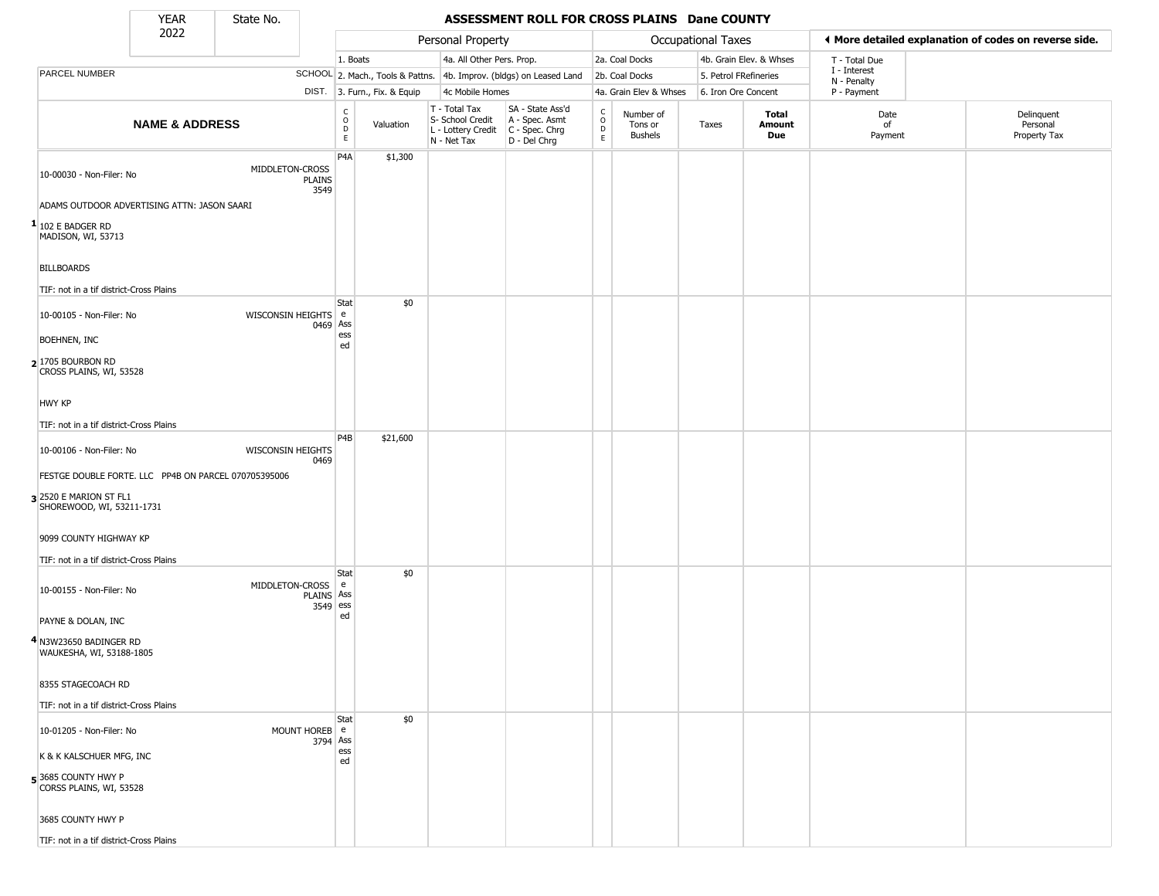State No.

Г

### **YEAR** State No. **ASSESSMENT ROLL FOR CROSS PLAINS Dane COUNTY**

|                                                      | 2022                      |                                           |                                   |                              | Personal Property                                                      |                                                                        |                                                 |                                        | Occupational Taxes    |                         | I More detailed explanation of codes on reverse side. |                                        |
|------------------------------------------------------|---------------------------|-------------------------------------------|-----------------------------------|------------------------------|------------------------------------------------------------------------|------------------------------------------------------------------------|-------------------------------------------------|----------------------------------------|-----------------------|-------------------------|-------------------------------------------------------|----------------------------------------|
|                                                      |                           |                                           | 1. Boats                          |                              | 4a. All Other Pers. Prop.                                              |                                                                        |                                                 | 2a. Coal Docks                         |                       | 4b. Grain Elev. & Whses | T - Total Due                                         |                                        |
| PARCEL NUMBER                                        |                           |                                           |                                   |                              |                                                                        | SCHOOL 2. Mach., Tools & Pattns. 4b. Improv. (bldgs) on Leased Land    |                                                 | 2b. Coal Docks                         | 5. Petrol FRefineries |                         | I - Interest<br>N - Penalty                           |                                        |
|                                                      |                           |                                           |                                   | DIST. 3. Furn., Fix. & Equip | 4c Mobile Homes                                                        |                                                                        |                                                 | 4a. Grain Elev & Whses                 | 6. Iron Ore Concent   |                         | P - Payment                                           |                                        |
|                                                      | <b>NAME &amp; ADDRESS</b> |                                           | $\frac{c}{0}$<br>D<br>$\mathsf E$ | Valuation                    | T - Total Tax<br>S- School Credit<br>L - Lottery Credit<br>N - Net Tax | SA - State Ass'd<br>A - Spec. Asmt<br>$C - Spec. Chrg$<br>D - Del Chrg | $\begin{array}{c} C \\ O \\ D \\ E \end{array}$ | Number of<br>Tons or<br><b>Bushels</b> | Taxes                 | Total<br>Amount<br>Due  | Date<br>of<br>Payment                                 | Delinquent<br>Personal<br>Property Tax |
| 10-00030 - Non-Filer: No                             |                           | MIDDLETON-CROSS<br><b>PLAINS</b><br>3549  | P4A                               | \$1,300                      |                                                                        |                                                                        |                                                 |                                        |                       |                         |                                                       |                                        |
| ADAMS OUTDOOR ADVERTISING ATTN: JASON SAARI          |                           |                                           |                                   |                              |                                                                        |                                                                        |                                                 |                                        |                       |                         |                                                       |                                        |
| $1$ 102 E BADGER RD<br>MADISON, WI, 53713            |                           |                                           |                                   |                              |                                                                        |                                                                        |                                                 |                                        |                       |                         |                                                       |                                        |
| <b>BILLBOARDS</b>                                    |                           |                                           |                                   |                              |                                                                        |                                                                        |                                                 |                                        |                       |                         |                                                       |                                        |
| TIF: not in a tif district-Cross Plains              |                           |                                           |                                   |                              |                                                                        |                                                                        |                                                 |                                        |                       |                         |                                                       |                                        |
| 10-00105 - Non-Filer: No                             |                           | WISCONSIN HEIGHTS e                       | Stat<br>0469 Ass                  | \$0                          |                                                                        |                                                                        |                                                 |                                        |                       |                         |                                                       |                                        |
| BOEHNEN, INC                                         |                           |                                           | ess<br>ed                         |                              |                                                                        |                                                                        |                                                 |                                        |                       |                         |                                                       |                                        |
| 2 1705 BOURBON RD<br>CROSS PLAINS, WI, 53528         |                           |                                           |                                   |                              |                                                                        |                                                                        |                                                 |                                        |                       |                         |                                                       |                                        |
| <b>HWY KP</b>                                        |                           |                                           |                                   |                              |                                                                        |                                                                        |                                                 |                                        |                       |                         |                                                       |                                        |
| TIF: not in a tif district-Cross Plains              |                           |                                           |                                   |                              |                                                                        |                                                                        |                                                 |                                        |                       |                         |                                                       |                                        |
| 10-00106 - Non-Filer: No                             |                           | <b>WISCONSIN HEIGHTS</b><br>0469          | P <sub>4</sub> B                  | \$21,600                     |                                                                        |                                                                        |                                                 |                                        |                       |                         |                                                       |                                        |
| FESTGE DOUBLE FORTE. LLC PP4B ON PARCEL 070705395006 |                           |                                           |                                   |                              |                                                                        |                                                                        |                                                 |                                        |                       |                         |                                                       |                                        |
| 3 2520 E MARION ST FL1<br>SHOREWOOD, WI, 53211-1731  |                           |                                           |                                   |                              |                                                                        |                                                                        |                                                 |                                        |                       |                         |                                                       |                                        |
| 9099 COUNTY HIGHWAY KP                               |                           |                                           |                                   |                              |                                                                        |                                                                        |                                                 |                                        |                       |                         |                                                       |                                        |
| TIF: not in a tif district-Cross Plains              |                           |                                           |                                   |                              |                                                                        |                                                                        |                                                 |                                        |                       |                         |                                                       |                                        |
| 10-00155 - Non-Filer: No                             |                           | MIDDLETON-CROSS<br>PLAINS Ass<br>3549 ess | Stat<br>l e                       | \$0                          |                                                                        |                                                                        |                                                 |                                        |                       |                         |                                                       |                                        |
| PAYNE & DOLAN, INC                                   |                           |                                           | ed                                |                              |                                                                        |                                                                        |                                                 |                                        |                       |                         |                                                       |                                        |
| 4 N3W23650 BADINGER RD<br>WAUKESHA, WI, 53188-1805   |                           |                                           |                                   |                              |                                                                        |                                                                        |                                                 |                                        |                       |                         |                                                       |                                        |
| 8355 STAGECOACH RD                                   |                           |                                           |                                   |                              |                                                                        |                                                                        |                                                 |                                        |                       |                         |                                                       |                                        |
| TIF: not in a tif district-Cross Plains              |                           |                                           |                                   |                              |                                                                        |                                                                        |                                                 |                                        |                       |                         |                                                       |                                        |
| 10-01205 - Non-Filer: No                             |                           | MOUNT HOREB e                             | Stat<br>3794 Ass                  | \$0                          |                                                                        |                                                                        |                                                 |                                        |                       |                         |                                                       |                                        |
| K & K KALSCHUER MFG, INC                             |                           |                                           | ess<br>ed                         |                              |                                                                        |                                                                        |                                                 |                                        |                       |                         |                                                       |                                        |
| 53685 COUNTY HWY P<br>CORSS PLAINS, WI, 53528        |                           |                                           |                                   |                              |                                                                        |                                                                        |                                                 |                                        |                       |                         |                                                       |                                        |
| 3685 COUNTY HWY P                                    |                           |                                           |                                   |                              |                                                                        |                                                                        |                                                 |                                        |                       |                         |                                                       |                                        |
| TIF: not in a tif district-Cross Plains              |                           |                                           |                                   |                              |                                                                        |                                                                        |                                                 |                                        |                       |                         |                                                       |                                        |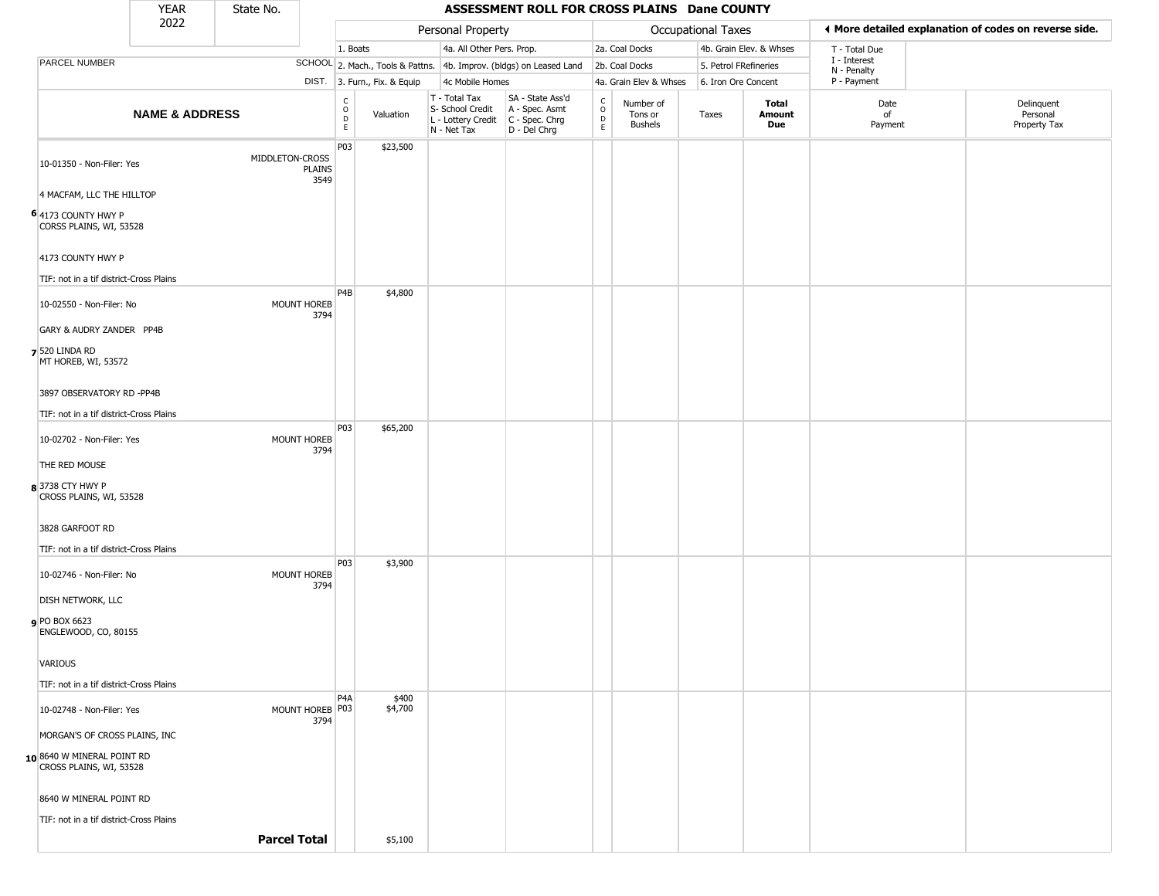|                                                              | <b>YEAR</b>               | State No.           |                         | ASSESSMENT ROLL FOR CROSS PLAINS Dane COUNTY   |                              |                                                                        |                                                                      |                                   |                                        |                       |                         |                             |                                                       |
|--------------------------------------------------------------|---------------------------|---------------------|-------------------------|------------------------------------------------|------------------------------|------------------------------------------------------------------------|----------------------------------------------------------------------|-----------------------------------|----------------------------------------|-----------------------|-------------------------|-----------------------------|-------------------------------------------------------|
|                                                              | 2022                      |                     |                         |                                                |                              | Personal Property                                                      |                                                                      |                                   |                                        | Occupational Taxes    |                         |                             | ♦ More detailed explanation of codes on reverse side. |
|                                                              |                           |                     |                         | 1. Boats                                       |                              | 4a. All Other Pers. Prop.                                              |                                                                      |                                   | 2a. Coal Docks                         |                       | 4b. Grain Elev. & Whses | T - Total Due               |                                                       |
| PARCEL NUMBER                                                |                           |                     |                         |                                                |                              |                                                                        | SCHOOL 2. Mach., Tools & Pattns. 4b. Improv. (bldgs) on Leased Land  |                                   | 2b. Coal Docks                         | 5. Petrol FRefineries |                         | I - Interest<br>N - Penalty |                                                       |
|                                                              |                           |                     |                         |                                                | DIST. 3. Furn., Fix. & Equip | 4c Mobile Homes                                                        |                                                                      |                                   | 4a. Grain Elev & Whses                 | 6. Iron Ore Concent   |                         | P - Payment                 |                                                       |
|                                                              | <b>NAME &amp; ADDRESS</b> |                     |                         | $\begin{matrix} 0 \\ 0 \\ D \end{matrix}$<br>E | Valuation                    | T - Total Tax<br>S- School Credit<br>L - Lottery Credit<br>N - Net Tax | SA - State Ass'd<br>A - Spec. Asmt<br>C - Spec. Chrg<br>D - Del Chrg | $\mathsf{C}$<br>$\circ$<br>D<br>E | Number of<br>Tons or<br><b>Bushels</b> | Taxes                 | Total<br>Amount<br>Due  | Date<br>of<br>Payment       | Delinquent<br>Personal<br>Property Tax                |
| 10-01350 - Non-Filer: Yes                                    |                           | MIDDLETON-CROSS     | <b>PLAINS</b><br>3549   | P03                                            | \$23,500                     |                                                                        |                                                                      |                                   |                                        |                       |                         |                             |                                                       |
| 4 MACFAM, LLC THE HILLTOP                                    |                           |                     |                         |                                                |                              |                                                                        |                                                                      |                                   |                                        |                       |                         |                             |                                                       |
| 6 4173 COUNTY HWY P<br>CORSS PLAINS, WI, 53528               |                           |                     |                         |                                                |                              |                                                                        |                                                                      |                                   |                                        |                       |                         |                             |                                                       |
| 4173 COUNTY HWY P<br>TIF: not in a tif district-Cross Plains |                           |                     |                         |                                                |                              |                                                                        |                                                                      |                                   |                                        |                       |                         |                             |                                                       |
| 10-02550 - Non-Filer: No                                     |                           |                     | MOUNT HOREB<br>3794     | P4B                                            | \$4,800                      |                                                                        |                                                                      |                                   |                                        |                       |                         |                             |                                                       |
| GARY & AUDRY ZANDER PP4B                                     |                           |                     |                         |                                                |                              |                                                                        |                                                                      |                                   |                                        |                       |                         |                             |                                                       |
| <b>7</b> 520 LINDA RD<br>MT HOREB, WI, 53572                 |                           |                     |                         |                                                |                              |                                                                        |                                                                      |                                   |                                        |                       |                         |                             |                                                       |
| 3897 OBSERVATORY RD -PP4B                                    |                           |                     |                         |                                                |                              |                                                                        |                                                                      |                                   |                                        |                       |                         |                             |                                                       |
| TIF: not in a tif district-Cross Plains                      |                           |                     |                         |                                                |                              |                                                                        |                                                                      |                                   |                                        |                       |                         |                             |                                                       |
| 10-02702 - Non-Filer: Yes                                    |                           |                     | MOUNT HOREB<br>3794     | P03                                            | \$65,200                     |                                                                        |                                                                      |                                   |                                        |                       |                         |                             |                                                       |
| THE RED MOUSE                                                |                           |                     |                         |                                                |                              |                                                                        |                                                                      |                                   |                                        |                       |                         |                             |                                                       |
| 8 3738 CTY HWY P<br>CROSS PLAINS, WI, 53528                  |                           |                     |                         |                                                |                              |                                                                        |                                                                      |                                   |                                        |                       |                         |                             |                                                       |
| 3828 GARFOOT RD                                              |                           |                     |                         |                                                |                              |                                                                        |                                                                      |                                   |                                        |                       |                         |                             |                                                       |
| TIF: not in a tif district-Cross Plains                      |                           |                     |                         |                                                |                              |                                                                        |                                                                      |                                   |                                        |                       |                         |                             |                                                       |
| 10-02746 - Non-Filer: No                                     |                           |                     | MOUNT HOREB<br>3794     | P03                                            | \$3,900                      |                                                                        |                                                                      |                                   |                                        |                       |                         |                             |                                                       |
| <b>DISH NETWORK, LLC</b>                                     |                           |                     |                         |                                                |                              |                                                                        |                                                                      |                                   |                                        |                       |                         |                             |                                                       |
| PO BOX 6623<br>ENGLEWOOD, CO, 80155                          |                           |                     |                         |                                                |                              |                                                                        |                                                                      |                                   |                                        |                       |                         |                             |                                                       |
| <b>VARIOUS</b>                                               |                           |                     |                         |                                                |                              |                                                                        |                                                                      |                                   |                                        |                       |                         |                             |                                                       |
| TIF: not in a tif district-Cross Plains                      |                           |                     |                         |                                                |                              |                                                                        |                                                                      |                                   |                                        |                       |                         |                             |                                                       |
| 10-02748 - Non-Filer: Yes                                    |                           |                     | MOUNT HOREB P03<br>3794 | P <sub>4</sub> A                               | \$400<br>\$4,700             |                                                                        |                                                                      |                                   |                                        |                       |                         |                             |                                                       |
| MORGAN'S OF CROSS PLAINS, INC                                |                           |                     |                         |                                                |                              |                                                                        |                                                                      |                                   |                                        |                       |                         |                             |                                                       |
| 10 8640 W MINERAL POINT RD<br>CROSS PLAINS, WI, 53528        |                           |                     |                         |                                                |                              |                                                                        |                                                                      |                                   |                                        |                       |                         |                             |                                                       |
| 8640 W MINERAL POINT RD                                      |                           |                     |                         |                                                |                              |                                                                        |                                                                      |                                   |                                        |                       |                         |                             |                                                       |
| TIF: not in a tif district-Cross Plains                      |                           |                     |                         |                                                |                              |                                                                        |                                                                      |                                   |                                        |                       |                         |                             |                                                       |
|                                                              |                           | <b>Parcel Total</b> |                         |                                                | \$5,100                      |                                                                        |                                                                      |                                   |                                        |                       |                         |                             |                                                       |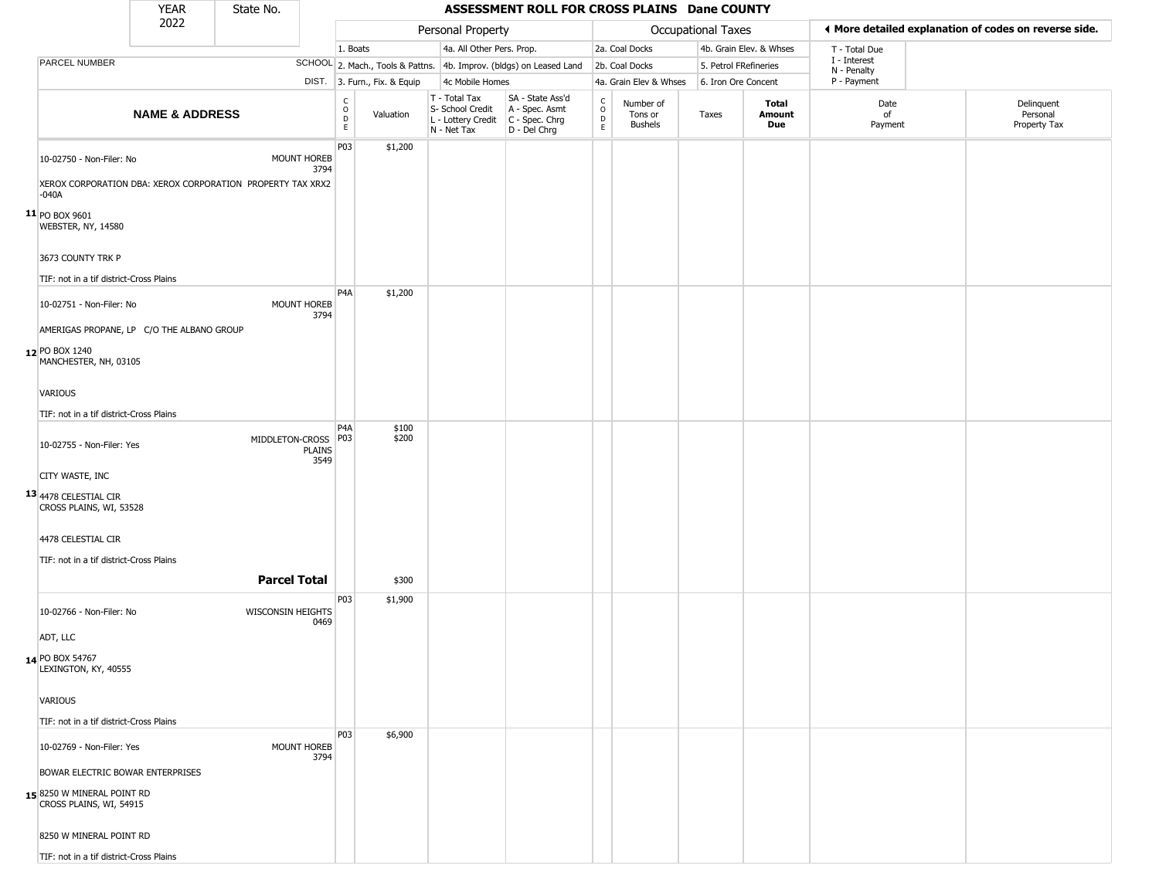|                                                                                                   | <b>YEAR</b>               | State No.                |                       |                                                       |                              |                                                                        | ASSESSMENT ROLL FOR CROSS PLAINS Dane COUNTY                           |                          |                                        |                    |                         |                             |                                                       |
|---------------------------------------------------------------------------------------------------|---------------------------|--------------------------|-----------------------|-------------------------------------------------------|------------------------------|------------------------------------------------------------------------|------------------------------------------------------------------------|--------------------------|----------------------------------------|--------------------|-------------------------|-----------------------------|-------------------------------------------------------|
|                                                                                                   | 2022                      |                          |                       |                                                       |                              | Personal Property                                                      |                                                                        |                          |                                        | Occupational Taxes |                         |                             | I More detailed explanation of codes on reverse side. |
|                                                                                                   |                           |                          |                       | 1. Boats                                              |                              | 4a. All Other Pers. Prop.                                              |                                                                        |                          | 2a. Coal Docks                         |                    | 4b. Grain Elev. & Whses | T - Total Due               |                                                       |
| PARCEL NUMBER                                                                                     |                           |                          |                       |                                                       |                              |                                                                        | SCHOOL 2. Mach., Tools & Pattns. 4b. Improv. (bldgs) on Leased Land    |                          | 2b. Coal Docks                         |                    | 5. Petrol FRefineries   | I - Interest<br>N - Penalty |                                                       |
|                                                                                                   |                           |                          |                       |                                                       | DIST. 3. Furn., Fix. & Equip | 4c Mobile Homes                                                        |                                                                        |                          | 4a. Grain Elev & Whses                 |                    | 6. Iron Ore Concent     | P - Payment                 |                                                       |
|                                                                                                   | <b>NAME &amp; ADDRESS</b> |                          |                       | $\mathsf{C}$<br>$\circ$<br>$\mathsf D$<br>$\mathsf E$ | Valuation                    | T - Total Tax<br>S- School Credit<br>L - Lottery Credit<br>N - Net Tax | SA - State Ass'd<br>A - Spec. Asmt<br>$C - Spec. Chrg$<br>D - Del Chrg | $\int_{0}^{c}$<br>D<br>E | Number of<br>Tons or<br><b>Bushels</b> | Taxes              | Total<br>Amount<br>Due  | Date<br>of<br>Payment       | Delinquent<br>Personal<br>Property Tax                |
| 10-02750 - Non-Filer: No<br>XEROX CORPORATION DBA: XEROX CORPORATION PROPERTY TAX XRX2<br>$-040A$ |                           |                          | MOUNT HOREB<br>3794   | P03                                                   | \$1,200                      |                                                                        |                                                                        |                          |                                        |                    |                         |                             |                                                       |
| $11$ PO BOX 9601<br>WEBSTER, NY, 14580                                                            |                           |                          |                       |                                                       |                              |                                                                        |                                                                        |                          |                                        |                    |                         |                             |                                                       |
| 3673 COUNTY TRK P<br>TIF: not in a tif district-Cross Plains                                      |                           |                          |                       |                                                       |                              |                                                                        |                                                                        |                          |                                        |                    |                         |                             |                                                       |
| 10-02751 - Non-Filer: No<br>AMERIGAS PROPANE, LP C/O THE ALBANO GROUP                             |                           |                          | MOUNT HOREB<br>3794   | P4A                                                   | \$1,200                      |                                                                        |                                                                        |                          |                                        |                    |                         |                             |                                                       |
| 12 PO BOX 1240<br>MANCHESTER, NH, 03105                                                           |                           |                          |                       |                                                       |                              |                                                                        |                                                                        |                          |                                        |                    |                         |                             |                                                       |
| <b>VARIOUS</b><br>TIF: not in a tif district-Cross Plains                                         |                           |                          |                       |                                                       |                              |                                                                        |                                                                        |                          |                                        |                    |                         |                             |                                                       |
| 10-02755 - Non-Filer: Yes                                                                         |                           | MIDDLETON-CROSS   P03    | <b>PLAINS</b><br>3549 | P <sub>4</sub> A                                      | \$100<br>\$200               |                                                                        |                                                                        |                          |                                        |                    |                         |                             |                                                       |
| CITY WASTE, INC                                                                                   |                           |                          |                       |                                                       |                              |                                                                        |                                                                        |                          |                                        |                    |                         |                             |                                                       |
| 13 4478 CELESTIAL CIR<br>CROSS PLAINS, WI, 53528                                                  |                           |                          |                       |                                                       |                              |                                                                        |                                                                        |                          |                                        |                    |                         |                             |                                                       |
| 4478 CELESTIAL CIR                                                                                |                           |                          |                       |                                                       |                              |                                                                        |                                                                        |                          |                                        |                    |                         |                             |                                                       |
| TIF: not in a tif district-Cross Plains                                                           |                           | <b>Parcel Total</b>      |                       |                                                       | \$300                        |                                                                        |                                                                        |                          |                                        |                    |                         |                             |                                                       |
| 10-02766 - Non-Filer: No                                                                          |                           | <b>WISCONSIN HEIGHTS</b> | 0469                  | P03                                                   | \$1,900                      |                                                                        |                                                                        |                          |                                        |                    |                         |                             |                                                       |
| ADT, LLC                                                                                          |                           |                          |                       |                                                       |                              |                                                                        |                                                                        |                          |                                        |                    |                         |                             |                                                       |
| 14 PO BOX 54767<br>LEXINGTON, KY, 40555                                                           |                           |                          |                       |                                                       |                              |                                                                        |                                                                        |                          |                                        |                    |                         |                             |                                                       |
| <b>VARIOUS</b>                                                                                    |                           |                          |                       |                                                       |                              |                                                                        |                                                                        |                          |                                        |                    |                         |                             |                                                       |
| TIF: not in a tif district-Cross Plains                                                           |                           |                          |                       |                                                       |                              |                                                                        |                                                                        |                          |                                        |                    |                         |                             |                                                       |
| 10-02769 - Non-Filer: Yes                                                                         |                           |                          | MOUNT HOREB<br>3794   | <b>P03</b>                                            | \$6,900                      |                                                                        |                                                                        |                          |                                        |                    |                         |                             |                                                       |
| BOWAR ELECTRIC BOWAR ENTERPRISES<br>158250 W MINERAL POINT RD<br>CROSS PLAINS, WI, 54915          |                           |                          |                       |                                                       |                              |                                                                        |                                                                        |                          |                                        |                    |                         |                             |                                                       |

8250 W MINERAL POINT RD TIF: not in a tif district-Cross Plains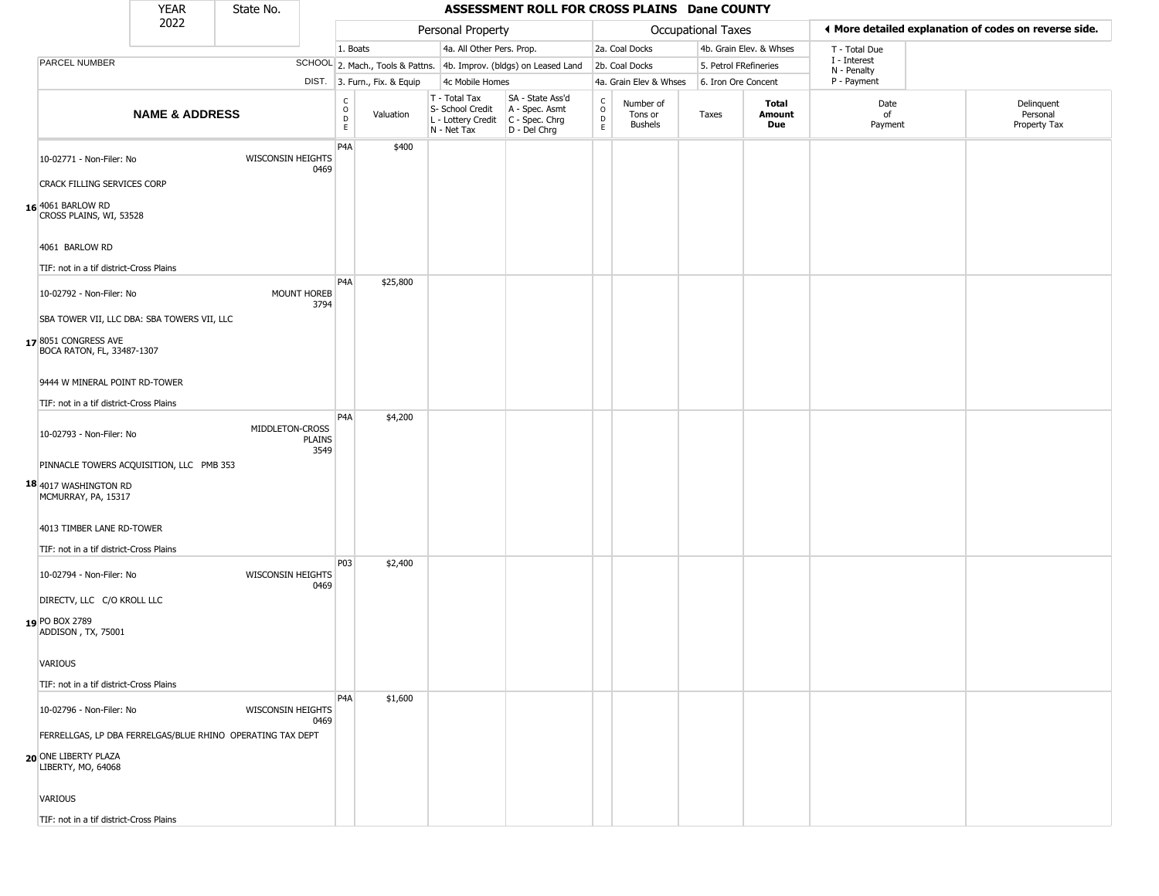| 2022<br>I More detailed explanation of codes on reverse side.<br>Personal Property<br>Occupational Taxes<br>4a. All Other Pers. Prop.<br>2a. Coal Docks<br>4b. Grain Elev. & Whses<br>1. Boats<br>T - Total Due<br>I - Interest<br>PARCEL NUMBER<br>SCHOOL 2. Mach., Tools & Pattns. 4b. Improv. (bldgs) on Leased Land<br>2b. Coal Docks<br>5. Petrol FRefineries<br>N - Penalty<br>P - Payment<br>DIST. 3. Furn., Fix. & Equip<br>4c Mobile Homes<br>4a. Grain Elev & Whses<br>6. Iron Ore Concent<br>SA - State Ass'd<br>T - Total Tax<br>C<br>D<br>D<br>E<br>$\rm ^c_{o}$<br>Number of<br>Total<br>Date<br>S- School Credit<br>A - Spec. Asmt<br><b>NAME &amp; ADDRESS</b><br>Valuation<br>of<br>Tons or<br>Taxes<br>Amount<br>$\mathsf{D}$<br>C - Spec. Chrg<br>L - Lottery Credit<br><b>Bushels</b><br>Due<br>Payment<br>E<br>D - Del Chrg<br>N - Net Tax<br>P4A<br>\$400<br>WISCONSIN HEIGHTS<br>10-02771 - Non-Filer: No<br>0469<br><b>CRACK FILLING SERVICES CORP</b><br>16 4061 BARLOW RD<br>CROSS PLAINS, WI, 53528<br>4061 BARLOW RD<br>TIF: not in a tif district-Cross Plains<br>P4A<br>\$25,800<br>MOUNT HOREB<br>10-02792 - Non-Filer: No<br>3794<br>SBA TOWER VII, LLC DBA: SBA TOWERS VII, LLC<br>178051 CONGRESS AVE<br>BOCA RATON, FL, 33487-1307<br>9444 W MINERAL POINT RD-TOWER<br>TIF: not in a tif district-Cross Plains<br>P <sub>4</sub> A<br>\$4,200<br>MIDDLETON-CROSS<br>10-02793 - Non-Filer: No<br><b>PLAINS</b><br>3549<br>PINNACLE TOWERS ACQUISITION, LLC PMB 353<br>18 4017 WASHINGTON RD<br>MCMURRAY, PA, 15317<br>4013 TIMBER LANE RD-TOWER<br>TIF: not in a tif district-Cross Plains<br>P03<br>\$2,400<br><b>WISCONSIN HEIGHTS</b><br>10-02794 - Non-Filer: No<br>0469<br>DIRECTV, LLC C/O KROLL LLC<br>19 PO BOX 2789<br>ADDISON, TX, 75001<br>VARIOUS<br>TIF: not in a tif district-Cross Plains<br>P <sub>4</sub> A<br>\$1,600<br>WISCONSIN HEIGHTS<br>10-02796 - Non-Filer: No<br>0469<br>FERRELLGAS, LP DBA FERRELGAS/BLUE RHINO OPERATING TAX DEPT<br>20 ONE LIBERTY PLAZA<br>LIBERTY, MO, 64068 |  | <b>YEAR</b> | State No. | ASSESSMENT ROLL FOR CROSS PLAINS Dane COUNTY |  |  |  |  |  |  |  |  |  |                                        |
|------------------------------------------------------------------------------------------------------------------------------------------------------------------------------------------------------------------------------------------------------------------------------------------------------------------------------------------------------------------------------------------------------------------------------------------------------------------------------------------------------------------------------------------------------------------------------------------------------------------------------------------------------------------------------------------------------------------------------------------------------------------------------------------------------------------------------------------------------------------------------------------------------------------------------------------------------------------------------------------------------------------------------------------------------------------------------------------------------------------------------------------------------------------------------------------------------------------------------------------------------------------------------------------------------------------------------------------------------------------------------------------------------------------------------------------------------------------------------------------------------------------------------------------------------------------------------------------------------------------------------------------------------------------------------------------------------------------------------------------------------------------------------------------------------------------------------------------------------------------------------------------------------------------------------------------------------------------------------------------------------------------------------------------------|--|-------------|-----------|----------------------------------------------|--|--|--|--|--|--|--|--|--|----------------------------------------|
|                                                                                                                                                                                                                                                                                                                                                                                                                                                                                                                                                                                                                                                                                                                                                                                                                                                                                                                                                                                                                                                                                                                                                                                                                                                                                                                                                                                                                                                                                                                                                                                                                                                                                                                                                                                                                                                                                                                                                                                                                                                |  |             |           |                                              |  |  |  |  |  |  |  |  |  |                                        |
|                                                                                                                                                                                                                                                                                                                                                                                                                                                                                                                                                                                                                                                                                                                                                                                                                                                                                                                                                                                                                                                                                                                                                                                                                                                                                                                                                                                                                                                                                                                                                                                                                                                                                                                                                                                                                                                                                                                                                                                                                                                |  |             |           |                                              |  |  |  |  |  |  |  |  |  |                                        |
|                                                                                                                                                                                                                                                                                                                                                                                                                                                                                                                                                                                                                                                                                                                                                                                                                                                                                                                                                                                                                                                                                                                                                                                                                                                                                                                                                                                                                                                                                                                                                                                                                                                                                                                                                                                                                                                                                                                                                                                                                                                |  |             |           |                                              |  |  |  |  |  |  |  |  |  |                                        |
|                                                                                                                                                                                                                                                                                                                                                                                                                                                                                                                                                                                                                                                                                                                                                                                                                                                                                                                                                                                                                                                                                                                                                                                                                                                                                                                                                                                                                                                                                                                                                                                                                                                                                                                                                                                                                                                                                                                                                                                                                                                |  |             |           |                                              |  |  |  |  |  |  |  |  |  |                                        |
|                                                                                                                                                                                                                                                                                                                                                                                                                                                                                                                                                                                                                                                                                                                                                                                                                                                                                                                                                                                                                                                                                                                                                                                                                                                                                                                                                                                                                                                                                                                                                                                                                                                                                                                                                                                                                                                                                                                                                                                                                                                |  |             |           |                                              |  |  |  |  |  |  |  |  |  | Delinquent<br>Personal<br>Property Tax |
|                                                                                                                                                                                                                                                                                                                                                                                                                                                                                                                                                                                                                                                                                                                                                                                                                                                                                                                                                                                                                                                                                                                                                                                                                                                                                                                                                                                                                                                                                                                                                                                                                                                                                                                                                                                                                                                                                                                                                                                                                                                |  |             |           |                                              |  |  |  |  |  |  |  |  |  |                                        |
|                                                                                                                                                                                                                                                                                                                                                                                                                                                                                                                                                                                                                                                                                                                                                                                                                                                                                                                                                                                                                                                                                                                                                                                                                                                                                                                                                                                                                                                                                                                                                                                                                                                                                                                                                                                                                                                                                                                                                                                                                                                |  |             |           |                                              |  |  |  |  |  |  |  |  |  |                                        |
|                                                                                                                                                                                                                                                                                                                                                                                                                                                                                                                                                                                                                                                                                                                                                                                                                                                                                                                                                                                                                                                                                                                                                                                                                                                                                                                                                                                                                                                                                                                                                                                                                                                                                                                                                                                                                                                                                                                                                                                                                                                |  |             |           |                                              |  |  |  |  |  |  |  |  |  |                                        |
|                                                                                                                                                                                                                                                                                                                                                                                                                                                                                                                                                                                                                                                                                                                                                                                                                                                                                                                                                                                                                                                                                                                                                                                                                                                                                                                                                                                                                                                                                                                                                                                                                                                                                                                                                                                                                                                                                                                                                                                                                                                |  |             |           |                                              |  |  |  |  |  |  |  |  |  |                                        |
|                                                                                                                                                                                                                                                                                                                                                                                                                                                                                                                                                                                                                                                                                                                                                                                                                                                                                                                                                                                                                                                                                                                                                                                                                                                                                                                                                                                                                                                                                                                                                                                                                                                                                                                                                                                                                                                                                                                                                                                                                                                |  |             |           |                                              |  |  |  |  |  |  |  |  |  |                                        |
|                                                                                                                                                                                                                                                                                                                                                                                                                                                                                                                                                                                                                                                                                                                                                                                                                                                                                                                                                                                                                                                                                                                                                                                                                                                                                                                                                                                                                                                                                                                                                                                                                                                                                                                                                                                                                                                                                                                                                                                                                                                |  |             |           |                                              |  |  |  |  |  |  |  |  |  |                                        |
|                                                                                                                                                                                                                                                                                                                                                                                                                                                                                                                                                                                                                                                                                                                                                                                                                                                                                                                                                                                                                                                                                                                                                                                                                                                                                                                                                                                                                                                                                                                                                                                                                                                                                                                                                                                                                                                                                                                                                                                                                                                |  |             |           |                                              |  |  |  |  |  |  |  |  |  |                                        |
|                                                                                                                                                                                                                                                                                                                                                                                                                                                                                                                                                                                                                                                                                                                                                                                                                                                                                                                                                                                                                                                                                                                                                                                                                                                                                                                                                                                                                                                                                                                                                                                                                                                                                                                                                                                                                                                                                                                                                                                                                                                |  |             |           |                                              |  |  |  |  |  |  |  |  |  |                                        |
|                                                                                                                                                                                                                                                                                                                                                                                                                                                                                                                                                                                                                                                                                                                                                                                                                                                                                                                                                                                                                                                                                                                                                                                                                                                                                                                                                                                                                                                                                                                                                                                                                                                                                                                                                                                                                                                                                                                                                                                                                                                |  |             |           |                                              |  |  |  |  |  |  |  |  |  |                                        |
|                                                                                                                                                                                                                                                                                                                                                                                                                                                                                                                                                                                                                                                                                                                                                                                                                                                                                                                                                                                                                                                                                                                                                                                                                                                                                                                                                                                                                                                                                                                                                                                                                                                                                                                                                                                                                                                                                                                                                                                                                                                |  |             |           |                                              |  |  |  |  |  |  |  |  |  |                                        |
|                                                                                                                                                                                                                                                                                                                                                                                                                                                                                                                                                                                                                                                                                                                                                                                                                                                                                                                                                                                                                                                                                                                                                                                                                                                                                                                                                                                                                                                                                                                                                                                                                                                                                                                                                                                                                                                                                                                                                                                                                                                |  |             |           |                                              |  |  |  |  |  |  |  |  |  |                                        |
|                                                                                                                                                                                                                                                                                                                                                                                                                                                                                                                                                                                                                                                                                                                                                                                                                                                                                                                                                                                                                                                                                                                                                                                                                                                                                                                                                                                                                                                                                                                                                                                                                                                                                                                                                                                                                                                                                                                                                                                                                                                |  |             |           |                                              |  |  |  |  |  |  |  |  |  |                                        |
|                                                                                                                                                                                                                                                                                                                                                                                                                                                                                                                                                                                                                                                                                                                                                                                                                                                                                                                                                                                                                                                                                                                                                                                                                                                                                                                                                                                                                                                                                                                                                                                                                                                                                                                                                                                                                                                                                                                                                                                                                                                |  |             |           |                                              |  |  |  |  |  |  |  |  |  |                                        |
|                                                                                                                                                                                                                                                                                                                                                                                                                                                                                                                                                                                                                                                                                                                                                                                                                                                                                                                                                                                                                                                                                                                                                                                                                                                                                                                                                                                                                                                                                                                                                                                                                                                                                                                                                                                                                                                                                                                                                                                                                                                |  |             |           |                                              |  |  |  |  |  |  |  |  |  |                                        |
| <b>VARIOUS</b>                                                                                                                                                                                                                                                                                                                                                                                                                                                                                                                                                                                                                                                                                                                                                                                                                                                                                                                                                                                                                                                                                                                                                                                                                                                                                                                                                                                                                                                                                                                                                                                                                                                                                                                                                                                                                                                                                                                                                                                                                                 |  |             |           |                                              |  |  |  |  |  |  |  |  |  |                                        |

TIF: not in a tif district-Cross Plains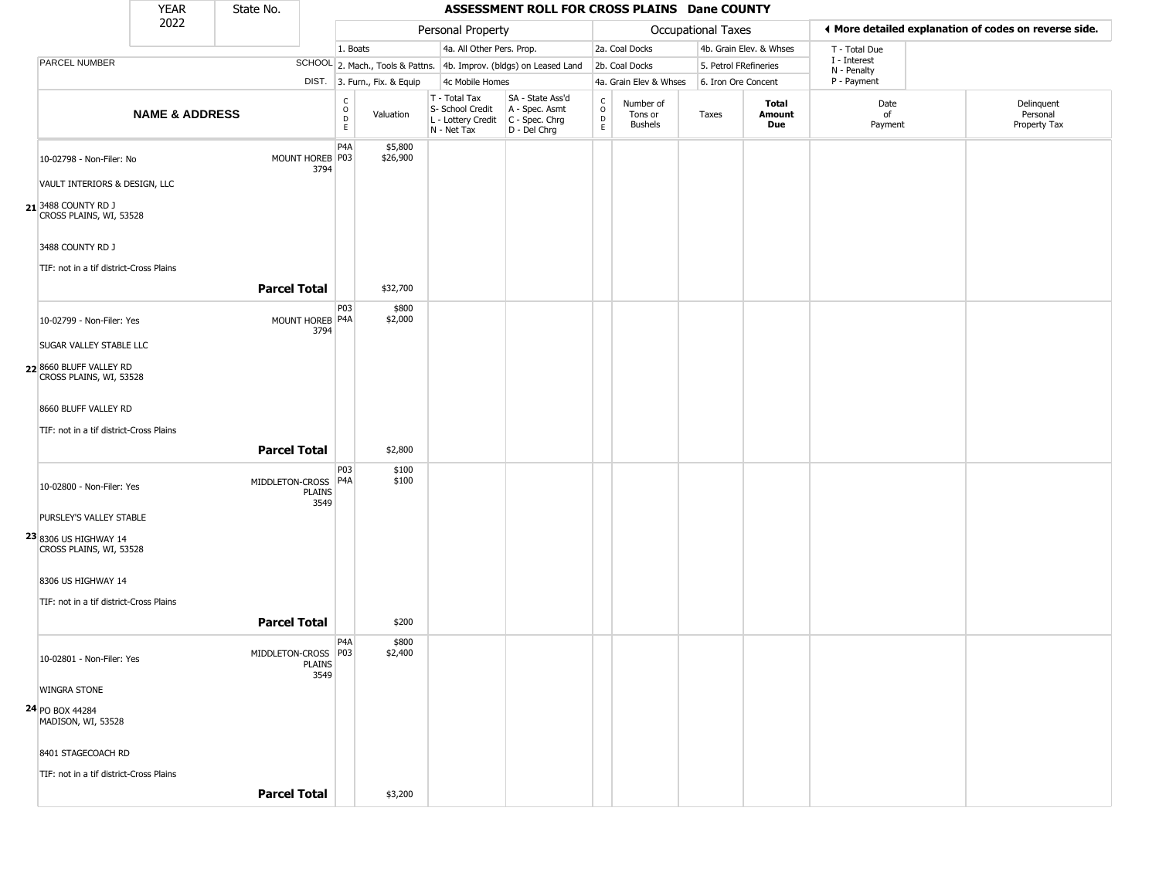|                                                    | <b>YEAR</b>               | State No.           |                         |                                   | ASSESSMENT ROLL FOR CROSS PLAINS Dane COUNTY |                                                                        |                                                                        |                                                          |                                        |                    |                         |                             |                                                       |
|----------------------------------------------------|---------------------------|---------------------|-------------------------|-----------------------------------|----------------------------------------------|------------------------------------------------------------------------|------------------------------------------------------------------------|----------------------------------------------------------|----------------------------------------|--------------------|-------------------------|-----------------------------|-------------------------------------------------------|
|                                                    | 2022                      |                     |                         |                                   |                                              | Personal Property                                                      |                                                                        |                                                          |                                        | Occupational Taxes |                         |                             | ♦ More detailed explanation of codes on reverse side. |
|                                                    |                           |                     |                         | 1. Boats                          |                                              | 4a. All Other Pers. Prop.                                              |                                                                        |                                                          | 2a. Coal Docks                         |                    | 4b. Grain Elev. & Whses | T - Total Due               |                                                       |
| PARCEL NUMBER                                      |                           |                     |                         |                                   | SCHOOL 2. Mach., Tools & Pattns.             |                                                                        | 4b. Improv. (bldgs) on Leased Land                                     |                                                          | 2b. Coal Docks                         |                    | 5. Petrol FRefineries   | I - Interest<br>N - Penalty |                                                       |
|                                                    |                           |                     |                         |                                   | DIST. 3. Furn., Fix. & Equip                 | 4c Mobile Homes                                                        |                                                                        |                                                          | 4a. Grain Elev & Whses                 |                    | 6. Iron Ore Concent     | P - Payment                 |                                                       |
|                                                    | <b>NAME &amp; ADDRESS</b> |                     |                         | $\frac{c}{0}$<br>$\mathsf D$<br>E | Valuation                                    | T - Total Tax<br>S- School Credit<br>L - Lottery Credit<br>N - Net Tax | SA - State Ass'd<br>A - Spec. Asmt<br>$C - Spec. Chrg$<br>D - Del Chrg | $\begin{matrix} 0 \\ 0 \\ 0 \end{matrix}$<br>$\mathsf E$ | Number of<br>Tons or<br><b>Bushels</b> | Taxes              | Total<br>Amount<br>Due  | Date<br>of<br>Payment       | Delinquent<br>Personal<br>Property Tax                |
| 10-02798 - Non-Filer: No                           |                           |                     | MOUNT HOREB P03<br>3794 | P4A                               | \$5,800<br>\$26,900                          |                                                                        |                                                                        |                                                          |                                        |                    |                         |                             |                                                       |
| VAULT INTERIORS & DESIGN, LLC                      |                           |                     |                         |                                   |                                              |                                                                        |                                                                        |                                                          |                                        |                    |                         |                             |                                                       |
| 21 3488 COUNTY RD J<br>CROSS PLAINS, WI, 53528     |                           |                     |                         |                                   |                                              |                                                                        |                                                                        |                                                          |                                        |                    |                         |                             |                                                       |
| 3488 COUNTY RD J                                   |                           |                     |                         |                                   |                                              |                                                                        |                                                                        |                                                          |                                        |                    |                         |                             |                                                       |
| TIF: not in a tif district-Cross Plains            |                           | <b>Parcel Total</b> |                         |                                   | \$32,700                                     |                                                                        |                                                                        |                                                          |                                        |                    |                         |                             |                                                       |
| 10-02799 - Non-Filer: Yes                          |                           |                     | MOUNT HOREB P4A<br>3794 | P03                               | \$800<br>\$2,000                             |                                                                        |                                                                        |                                                          |                                        |                    |                         |                             |                                                       |
| <b>SUGAR VALLEY STABLE LLC</b>                     |                           |                     |                         |                                   |                                              |                                                                        |                                                                        |                                                          |                                        |                    |                         |                             |                                                       |
| 22 8660 BLUFF VALLEY RD<br>CROSS PLAINS, WI, 53528 |                           |                     |                         |                                   |                                              |                                                                        |                                                                        |                                                          |                                        |                    |                         |                             |                                                       |
| 8660 BLUFF VALLEY RD                               |                           |                     |                         |                                   |                                              |                                                                        |                                                                        |                                                          |                                        |                    |                         |                             |                                                       |
| TIF: not in a tif district-Cross Plains            |                           |                     |                         |                                   |                                              |                                                                        |                                                                        |                                                          |                                        |                    |                         |                             |                                                       |
|                                                    |                           | <b>Parcel Total</b> |                         |                                   | \$2,800                                      |                                                                        |                                                                        |                                                          |                                        |                    |                         |                             |                                                       |
| 10-02800 - Non-Filer: Yes                          |                           | MIDDLETON-CROSS     | PLAINS<br>3549          | P03<br>P <sub>4</sub> A           | \$100<br>\$100                               |                                                                        |                                                                        |                                                          |                                        |                    |                         |                             |                                                       |
| PURSLEY'S VALLEY STABLE                            |                           |                     |                         |                                   |                                              |                                                                        |                                                                        |                                                          |                                        |                    |                         |                             |                                                       |
| 23 8306 US HIGHWAY 14<br>CROSS PLAINS, WI, 53528   |                           |                     |                         |                                   |                                              |                                                                        |                                                                        |                                                          |                                        |                    |                         |                             |                                                       |
| 8306 US HIGHWAY 14                                 |                           |                     |                         |                                   |                                              |                                                                        |                                                                        |                                                          |                                        |                    |                         |                             |                                                       |
| TIF: not in a tif district-Cross Plains            |                           | <b>Parcel Total</b> |                         |                                   | \$200                                        |                                                                        |                                                                        |                                                          |                                        |                    |                         |                             |                                                       |
| 10-02801 - Non-Filer: Yes                          |                           | MIDDLETON-CROSS     | PLAINS<br>3549          | P <sub>4</sub> A<br><b>P03</b>    | \$800<br>\$2,400                             |                                                                        |                                                                        |                                                          |                                        |                    |                         |                             |                                                       |
| <b>WINGRA STONE</b>                                |                           |                     |                         |                                   |                                              |                                                                        |                                                                        |                                                          |                                        |                    |                         |                             |                                                       |
| 24 PO BOX 44284<br>MADISON, WI, 53528              |                           |                     |                         |                                   |                                              |                                                                        |                                                                        |                                                          |                                        |                    |                         |                             |                                                       |
| 8401 STAGECOACH RD                                 |                           |                     |                         |                                   |                                              |                                                                        |                                                                        |                                                          |                                        |                    |                         |                             |                                                       |
| TIF: not in a tif district-Cross Plains            |                           |                     |                         |                                   |                                              |                                                                        |                                                                        |                                                          |                                        |                    |                         |                             |                                                       |
|                                                    |                           | <b>Parcel Total</b> |                         |                                   | \$3,200                                      |                                                                        |                                                                        |                                                          |                                        |                    |                         |                             |                                                       |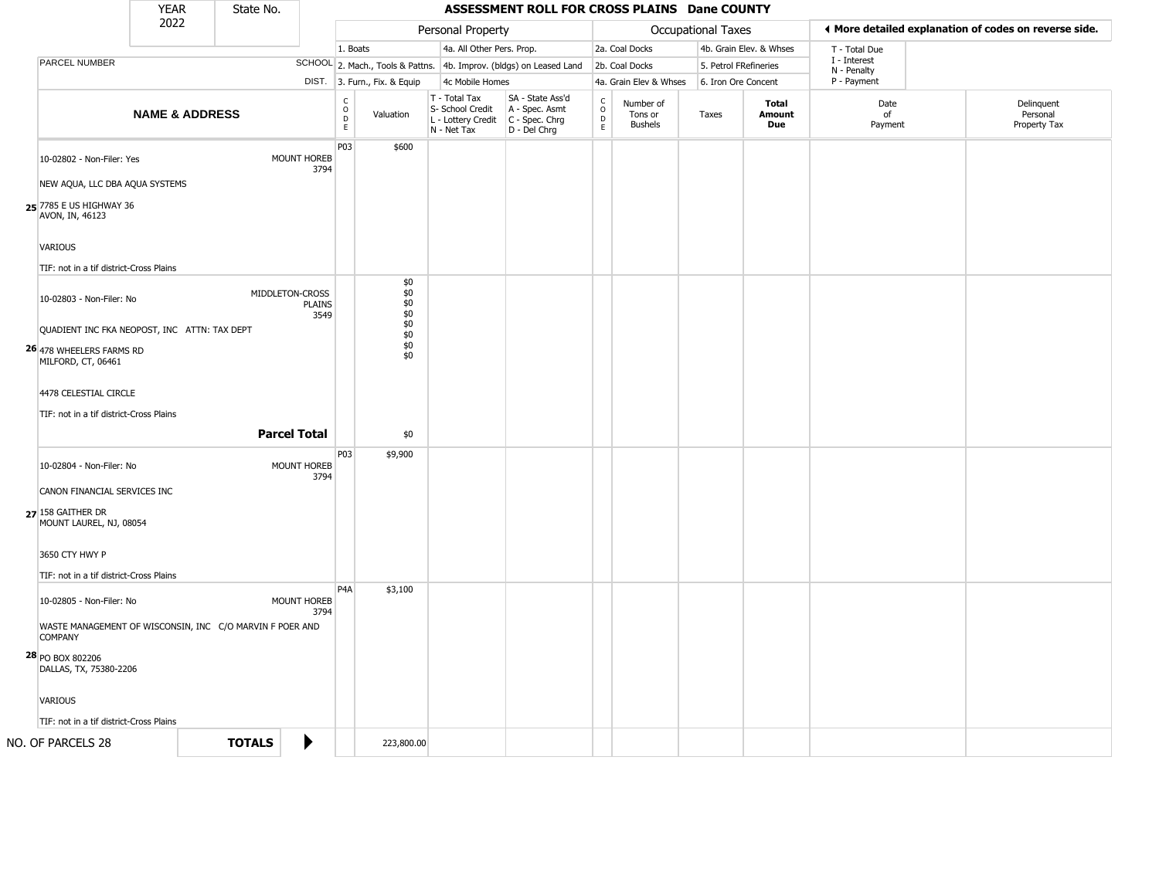|                                                                                                | <b>YEAR</b>               | State No.                                                |                       |                        |                                                    |                                                                                         | ASSESSMENT ROLL FOR CROSS PLAINS Dane COUNTY                        |                                              |                                        |       |                    |                         |                             |                                                       |
|------------------------------------------------------------------------------------------------|---------------------------|----------------------------------------------------------|-----------------------|------------------------|----------------------------------------------------|-----------------------------------------------------------------------------------------|---------------------------------------------------------------------|----------------------------------------------|----------------------------------------|-------|--------------------|-------------------------|-----------------------------|-------------------------------------------------------|
|                                                                                                | 2022                      |                                                          |                       |                        |                                                    | Personal Property                                                                       |                                                                     |                                              |                                        |       | Occupational Taxes |                         |                             | ◀ More detailed explanation of codes on reverse side. |
|                                                                                                |                           |                                                          |                       | 1. Boats               |                                                    | 4a. All Other Pers. Prop.                                                               |                                                                     |                                              | 2a. Coal Docks                         |       |                    | 4b. Grain Elev. & Whses | T - Total Due               |                                                       |
| <b>PARCEL NUMBER</b>                                                                           |                           |                                                          |                       |                        |                                                    |                                                                                         | SCHOOL 2. Mach., Tools & Pattns. 4b. Improv. (bldgs) on Leased Land |                                              | 2b. Coal Docks                         |       |                    | 5. Petrol FRefineries   | I - Interest<br>N - Penalty |                                                       |
|                                                                                                |                           |                                                          |                       |                        | DIST. 3. Furn., Fix. & Equip                       | 4c Mobile Homes                                                                         |                                                                     |                                              | 4a. Grain Elev & Whses                 |       |                    | 6. Iron Ore Concent     | P - Payment                 |                                                       |
|                                                                                                | <b>NAME &amp; ADDRESS</b> |                                                          |                       | C<br>$\circ$<br>D<br>E | Valuation                                          | T - Total Tax<br>S- School Credit<br>L - Lottery Credit   C - Spec. Chrg<br>N - Net Tax | SA - State Ass'd<br>A - Spec. Asmt<br>D - Del Chrg                  | $\mathsf{C}$<br>$\circ$<br>$\mathsf{D}$<br>E | Number of<br>Tons or<br><b>Bushels</b> | Taxes |                    | Total<br>Amount<br>Due  | Date<br>of<br>Payment       | Delinquent<br>Personal<br>Property Tax                |
| 10-02802 - Non-Filer: Yes<br>NEW AQUA, LLC DBA AQUA SYSTEMS                                    |                           |                                                          | MOUNT HOREB<br>3794   | P03                    | \$600                                              |                                                                                         |                                                                     |                                              |                                        |       |                    |                         |                             |                                                       |
| 25 7785 E US HIGHWAY 36<br>AVON, IN, 46123                                                     |                           |                                                          |                       |                        |                                                    |                                                                                         |                                                                     |                                              |                                        |       |                    |                         |                             |                                                       |
| VARIOUS<br>TIF: not in a tif district-Cross Plains                                             |                           |                                                          |                       |                        |                                                    |                                                                                         |                                                                     |                                              |                                        |       |                    |                         |                             |                                                       |
| 10-02803 - Non-Filer: No                                                                       |                           | MIDDLETON-CROSS                                          | <b>PLAINS</b><br>3549 |                        | \$0<br>\$0<br>$$0$<br>$$0$<br>$$0$<br>$$0$<br>$$0$ |                                                                                         |                                                                     |                                              |                                        |       |                    |                         |                             |                                                       |
| QUADIENT INC FKA NEOPOST, INC ATTN: TAX DEPT<br>26 478 WHEELERS FARMS RD<br>MILFORD, CT, 06461 |                           |                                                          |                       |                        | \$0<br>\$0                                         |                                                                                         |                                                                     |                                              |                                        |       |                    |                         |                             |                                                       |
| 4478 CELESTIAL CIRCLE<br>TIF: not in a tif district-Cross Plains                               |                           | <b>Parcel Total</b>                                      |                       |                        | \$0                                                |                                                                                         |                                                                     |                                              |                                        |       |                    |                         |                             |                                                       |
| 10-02804 - Non-Filer: No                                                                       |                           |                                                          | MOUNT HOREB           | P03                    | \$9,900                                            |                                                                                         |                                                                     |                                              |                                        |       |                    |                         |                             |                                                       |
| CANON FINANCIAL SERVICES INC<br>27 158 GAITHER DR<br>MOUNT LAUREL, NJ, 08054                   |                           |                                                          | 3794                  |                        |                                                    |                                                                                         |                                                                     |                                              |                                        |       |                    |                         |                             |                                                       |
| 3650 CTY HWY P<br>TIF: not in a tif district-Cross Plains                                      |                           |                                                          |                       |                        |                                                    |                                                                                         |                                                                     |                                              |                                        |       |                    |                         |                             |                                                       |
| 10-02805 - Non-Filer: No                                                                       |                           |                                                          | MOUNT HOREB<br>3794   | P <sub>4</sub> A       | \$3,100                                            |                                                                                         |                                                                     |                                              |                                        |       |                    |                         |                             |                                                       |
| <b>COMPANY</b>                                                                                 |                           | WASTE MANAGEMENT OF WISCONSIN, INC C/O MARVIN F POER AND |                       |                        |                                                    |                                                                                         |                                                                     |                                              |                                        |       |                    |                         |                             |                                                       |
| 28 PO BOX 802206<br>DALLAS, TX, 75380-2206                                                     |                           |                                                          |                       |                        |                                                    |                                                                                         |                                                                     |                                              |                                        |       |                    |                         |                             |                                                       |
| <b>VARIOUS</b><br>TIF: not in a tif district-Cross Plains                                      |                           |                                                          |                       |                        |                                                    |                                                                                         |                                                                     |                                              |                                        |       |                    |                         |                             |                                                       |
| NO. OF PARCELS 28                                                                              |                           | <b>TOTALS</b>                                            | ▶                     |                        | 223,800.00                                         |                                                                                         |                                                                     |                                              |                                        |       |                    |                         |                             |                                                       |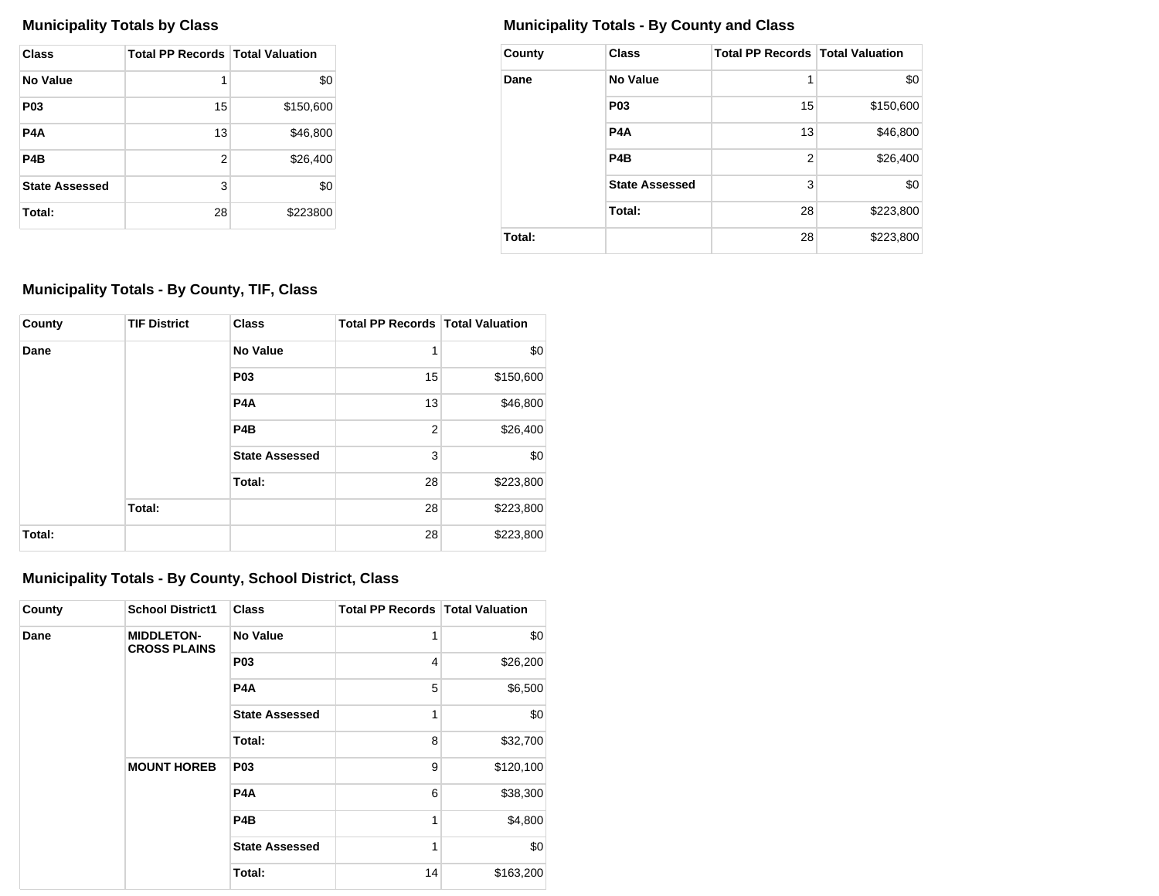| Class                 | <b>Total PP Records   Total Valuation</b> |           |
|-----------------------|-------------------------------------------|-----------|
| No Value              | 1                                         | \$0       |
| <b>P03</b>            | 15                                        | \$150,600 |
| P4A                   | 13                                        | \$46,800  |
| P <sub>4</sub> B      | 2                                         | \$26,400  |
| <b>State Assessed</b> | 3                                         | \$0       |
| Total:                | 28                                        | \$223800  |

# **Municipality Totals by Class Municipality Totals - By County and Class**

| County | <b>Class</b>          | <b>Total PP Records   Total Valuation</b> |           |
|--------|-----------------------|-------------------------------------------|-----------|
| Dane   | <b>No Value</b>       | 1                                         | \$0       |
|        | P <sub>0</sub> 3      | 15                                        | \$150,600 |
|        | P4A                   | 13                                        | \$46,800  |
|        | P <sub>4</sub> B      | $\overline{2}$                            | \$26,400  |
|        | <b>State Assessed</b> | 3                                         | \$0       |
|        | Total:                | 28                                        | \$223,800 |
| Total: |                       | 28                                        | \$223,800 |

# **Municipality Totals - By County, TIF, Class**

| County | <b>TIF District</b> | <b>Class</b>          | <b>Total PP Records   Total Valuation</b> |           |
|--------|---------------------|-----------------------|-------------------------------------------|-----------|
| Dane   |                     | <b>No Value</b>       | 1                                         | \$0       |
|        |                     | <b>P03</b>            | 15                                        | \$150,600 |
|        |                     | P <sub>4</sub> A      | 13                                        | \$46,800  |
|        |                     | P <sub>4</sub> B      | $\overline{2}$                            | \$26,400  |
|        |                     | <b>State Assessed</b> | 3                                         | \$0       |
|        |                     | Total:                | 28                                        | \$223,800 |
|        | Total:              |                       | 28                                        | \$223,800 |
| Total: |                     |                       | 28                                        | \$223,800 |

# **Municipality Totals - By County, School District, Class**

| County | <b>School District1</b>                  | <b>Class</b>                                        | <b>Total PP Records   Total Valuation</b> |           |
|--------|------------------------------------------|-----------------------------------------------------|-------------------------------------------|-----------|
| Dane   | <b>MIDDLETON-</b><br><b>CROSS PLAINS</b> | No Value                                            | 1                                         | \$0       |
|        |                                          | <b>P03</b>                                          | 4                                         | \$26,200  |
|        |                                          | P <sub>4</sub> A<br><b>State Assessed</b><br>Total: | 5                                         | \$6,500   |
|        |                                          |                                                     | 1                                         | \$0       |
|        |                                          |                                                     | 8                                         | \$32,700  |
|        | <b>MOUNT HOREB</b>                       | <b>P03</b>                                          | 9                                         | \$120,100 |
|        |                                          | P <sub>4</sub> A                                    | 6                                         | \$38,300  |
|        |                                          | P <sub>4</sub> B<br><b>State Assessed</b>           | 1                                         | \$4,800   |
|        |                                          |                                                     | 1                                         | \$0       |
|        |                                          | Total:                                              | 14                                        | \$163,200 |